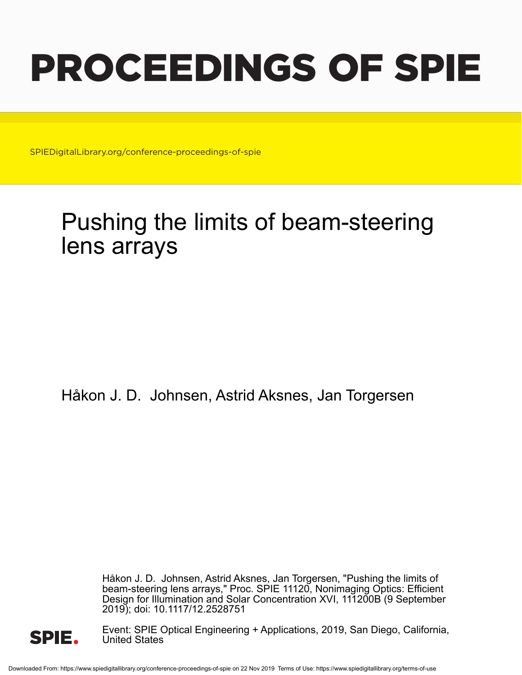# PROCEEDINGS OF SPIE

SPIEDigitalLibrary.org/conference-proceedings-of-spie

# Pushing the limits of beam-steering lens arrays

Håkon J. D. Johnsen, Astrid Aksnes, Jan Torgersen

Håkon J. D. Johnsen, Astrid Aksnes, Jan Torgersen, "Pushing the limits of beam-steering lens arrays," Proc. SPIE 11120, Nonimaging Optics: Efficient Design for Illumination and Solar Concentration XVI, 111200B (9 September 2019); doi: 10.1117/12.2528751



Event: SPIE Optical Engineering + Applications, 2019, San Diego, California, United States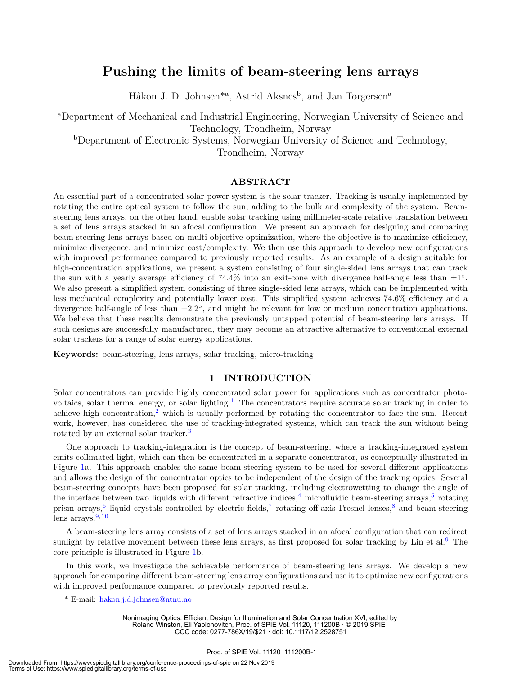## **Pushing the limits of beam-steering lens arrays**

Håkon J. D. Johnsen<sup>\*a</sup>, Astrid Aksnes<sup>b</sup>, and Jan Torgersen<sup>a</sup>

<sup>a</sup>Department of Mechanical and Industrial Engineering, Norwegian University of Science and Technology, Trondheim, Norway

<sup>b</sup>Department of Electronic Systems, Norwegian University of Science and Technology,

Trondheim, Norway

#### **ABSTRACT**

An essential part of a concentrated solar power system is the solar tracker. Tracking is usually implemented by rotating the entire optical system to follow the sun, adding to the bulk and complexity of the system. Beamsteering lens arrays, on the other hand, enable solar tracking using millimeter-scale relative translation between a set of lens arrays stacked in an afocal configuration. We present an approach for designing and comparing beam-steering lens arrays based on multi-objective optimization, where the objective is to maximize efficiency, minimize divergence, and minimize cost/complexity. We then use this approach to develop new configurations with improved performance compared to previously reported results. As an example of a design suitable for high-concentration applications, we present a system consisting of four single-sided lens arrays that can track the sun with a yearly average efficiency of  $74.4\%$  into an exit-cone with divergence half-angle less than  $\pm 1^{\circ}$ . We also present a simplified system consisting of three single-sided lens arrays, which can be implemented with less mechanical complexity and potentially lower cost. This simplified system achieves 74.6% efficiency and a divergence half-angle of less than *±*2*.*2 *◦* , and might be relevant for low or medium concentration applications. We believe that these results demonstrate the previously untapped potential of beam-steering lens arrays. If such designs are successfully manufactured, they may become an attractive alternative to conventional external solar trackers for a range of solar energy applications.

**Keywords:** beam-steering, lens arrays, solar tracking, micro-tracking

#### **1 INTRODUCTION**

Solar concentrators can provide highly concentrated solar power for applications such as concentrator photovoltaics, solar thermal energy, or solar lighting.<sup>1</sup> The concentrators require accurate solar tracking in order to achieve high concentration, $^2$  which is usually performed by rotating the concentrator to face the sun. Recent work, however, has considered the use of tracking-integrated systems, which can track the sun without being rotated by an external solar tracker.<sup>3</sup>

One approach to tracking-integration is the concept of beam-steering, where a tracking-integrated system emits collimated light, which can then be concentrated in a separate concentrator, as conceptually illustrated in Figure 1a. This approach enables the same beam-steering system to be used for several different applications and allows the design of the concentrator optics to be independent of the design of the tracking optics. Several beam-steering concepts have been proposed for solar tracking, including electrowetting to change the angle of the interface between two liquids with different refractive indices,  $\frac{4}{3}$  microfluidic beam-steering arrays,  $\frac{5}{3}$  rotating prism arrays,<sup>6</sup> liquid crystals controlled by electric fields,<sup>7</sup> rotating off-axis Fresnel lenses,<sup>8</sup> and beam-steering lens arrays. $9,10$ 

A beam-steering lens array consists of a set of lens arrays stacked in an afocal configuration that can redirect sunlight by relative movement between these lens arrays, as first proposed for solar tracking by Lin et al.<sup>9</sup> The core principle is illustrated in Figure 1b.

In this work, we investigate the achievable performance of beam-steering lens arrays. We develop a new approach for comparing different beam-steering lens array configurations and use it to optimize new configurations with improved performance compared to previously reported results.

\* E-mail: hakon.j.d.johnsen@ntnu.no

Nonimaging Optics: Efficient Design for Illumination and Solar Concentration XVI, edited by Roland Winston, Eli Yablonovitch, Proc. of SPIE Vol. 11120, 111200B · © 2019 SPIE CCC code: 0277-786X/19/\$21 · doi: 10.1117/12.2528751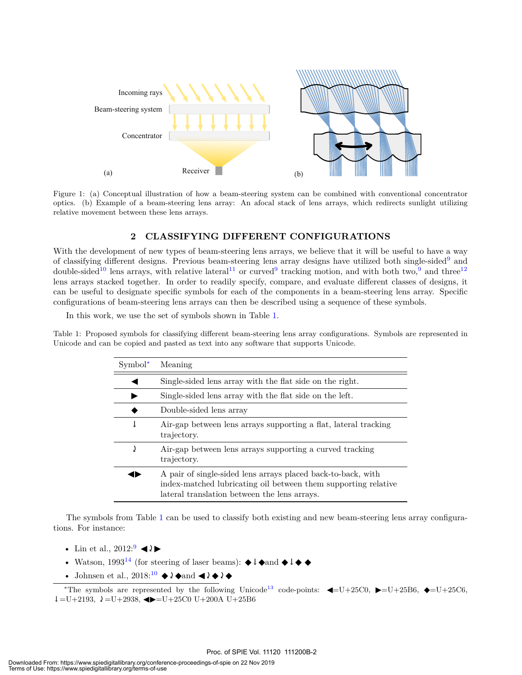

Figure 1: (a) Conceptual illustration of how a beam-steering system can be combined with conventional concentrator optics. (b) Example of a beam-steering lens array: An afocal stack of lens arrays, which redirects sunlight utilizing relative movement between these lens arrays.

### **2 CLASSIFYING DIFFERENT CONFIGURATIONS**

With the development of new types of beam-steering lens arrays, we believe that it will be useful to have a way of classifying different designs. Previous beam-steering lens array designs have utilized both single-sided<sup>9</sup> and double-sided<sup>10</sup> lens arrays, with relative lateral<sup>11</sup> or curved<sup>9</sup> tracking motion, and with both two,<sup>9</sup> and three<sup>12</sup> lens arrays stacked together. In order to readily specify, compare, and evaluate different classes of designs, it can be useful to designate specific symbols for each of the components in a beam-steering lens array. Specific configurations of beam-steering lens arrays can then be described using a sequence of these symbols.

In this work, we use the set of symbols shown in Table 1.

Table 1: Proposed symbols for classifying different beam-steering lens array configurations. Symbols are represented in Unicode and can be copied and pasted as text into any software that supports Unicode.

| $Symbol^*$ | Meaning                                                                                                                                                                        |
|------------|--------------------------------------------------------------------------------------------------------------------------------------------------------------------------------|
|            | Single-sided lens array with the flat side on the right.                                                                                                                       |
|            | Single-sided lens array with the flat side on the left.                                                                                                                        |
|            | Double-sided lens array                                                                                                                                                        |
| ↓          | Air-gap between lens arrays supporting a flat, lateral tracking<br>trajectory.                                                                                                 |
| J          | Air-gap between lens arrays supporting a curved tracking<br>trajectory.                                                                                                        |
|            | A pair of single-sided lens arrays placed back-to-back, with<br>index-matched lubricating oil between them supporting relative<br>lateral translation between the lens arrays. |

The symbols from Table 1 can be used to classify both existing and new beam-steering lens array configurations. For instance:

- Lin et al.,  $2012:9$   $\blacktriangleleft l$
- Watson, 1993<sup>14</sup> (for steering of laser beams):  $\blacklozenge \downarrow \blacklozenge$  and  $\blacklozenge \downarrow \blacklozenge$
- Johnsen et al.,  $2018:^{10}$   $\blacklozenge$   $\lambda \blacklozenge$  and  $\blacktriangleleft \lambda \blacklozenge$

\*The symbols are represented by the following Unicode<sup>13</sup> code-points:  $\blacktriangleleft$ =U+25C0,  $\blacktriangleright$ =U+25B6,  $\blacklozenge$ =U+25C6,  $\downarrow$ =U+2193,  $\downarrow$ =U+2938,  $\blacktriangleleft$ =U+25C0 U+200A U+25B6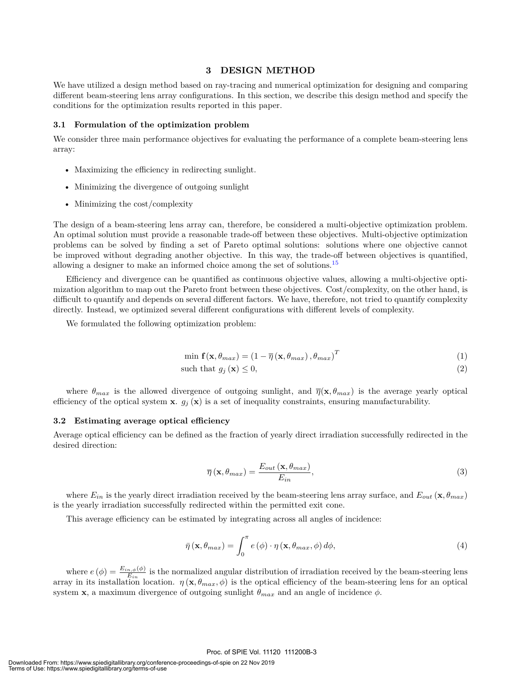#### **3 DESIGN METHOD**

We have utilized a design method based on ray-tracing and numerical optimization for designing and comparing different beam-steering lens array configurations. In this section, we describe this design method and specify the conditions for the optimization results reported in this paper.

#### **3.1 Formulation of the optimization problem**

We consider three main performance objectives for evaluating the performance of a complete beam-steering lens array:

- Maximizing the efficiency in redirecting sunlight.
- Minimizing the divergence of outgoing sunlight
- Minimizing the cost/complexity

The design of a beam-steering lens array can, therefore, be considered a multi-objective optimization problem. An optimal solution must provide a reasonable trade-off between these objectives. Multi-objective optimization problems can be solved by finding a set of Pareto optimal solutions: solutions where one objective cannot be improved without degrading another objective. In this way, the trade-off between objectives is quantified, allowing a designer to make an informed choice among the set of solutions.<sup>15</sup>

Efficiency and divergence can be quantified as continuous objective values, allowing a multi-objective optimization algorithm to map out the Pareto front between these objectives. Cost/complexity, on the other hand, is difficult to quantify and depends on several different factors. We have, therefore, not tried to quantify complexity directly. Instead, we optimized several different configurations with different levels of complexity.

We formulated the following optimization problem:

$$
\min \mathbf{f}(\mathbf{x}, \theta_{max}) = (1 - \overline{\eta}(\mathbf{x}, \theta_{max}), \theta_{max})^T
$$
\n(1)

such that 
$$
g_j(\mathbf{x}) \leq 0
$$
, 
$$
(2)
$$

where  $\theta_{max}$  is the allowed divergence of outgoing sunlight, and  $\overline{\eta}(\mathbf{x}, \theta_{max})$  is the average yearly optical efficiency of the optical system **x**.  $g_j(\mathbf{x})$  is a set of inequality constraints, ensuring manufacturability.

#### **3.2 Estimating average optical efficiency**

Average optical efficiency can be defined as the fraction of yearly direct irradiation successfully redirected in the desired direction:

$$
\overline{\eta}(\mathbf{x}, \theta_{max}) = \frac{E_{out}(\mathbf{x}, \theta_{max})}{E_{in}},
$$
\n(3)

where  $E_{in}$  is the yearly direct irradiation received by the beam-steering lens array surface, and  $E_{out}(\mathbf{x}, \theta_{max})$ is the yearly irradiation successfully redirected within the permitted exit cone.

This average efficiency can be estimated by integrating across all angles of incidence:

$$
\bar{\eta}(\mathbf{x}, \theta_{max}) = \int_0^{\pi} e(\phi) \cdot \eta(\mathbf{x}, \theta_{max}, \phi) d\phi,
$$
\n(4)

where  $e(\phi) = \frac{E_{in,\phi}(\phi)}{E_{in}}$  is the normalized angular distribution of irradiation received by the beam-steering lens array in its installation location.  $\eta(\mathbf{x}, \theta_{max}, \phi)$  is the optical efficiency of the beam-steering lens for an optical system **x**, a maximum divergence of outgoing sunlight  $\theta_{max}$  and an angle of incidence  $\phi$ .

#### Proc. of SPIE Vol. 11120 111200B-3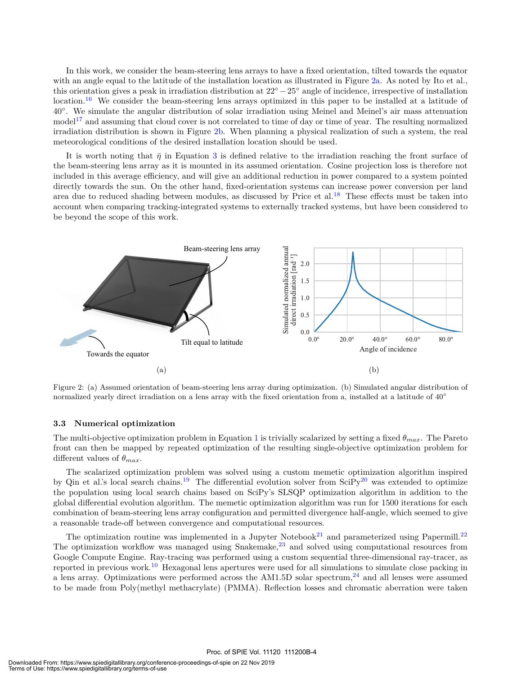In this work, we consider the beam-steering lens arrays to have a fixed orientation, tilted towards the equator with an angle equal to the latitude of the installation location as illustrated in Figure 2a. As noted by Ito et al., this orientation gives a peak in irradiation distribution at 22*◦ −*25*◦* angle of incidence, irrespective of installation location.<sup>16</sup> We consider the beam-steering lens arrays optimized in this paper to be installed at a latitude of 40*◦* . We simulate the angular distribution of solar irradiation using Meinel and Meinel's air mass attenuation  $\text{model}^{17}$  and assuming that cloud cover is not correlated to time of day or time of year. The resulting normalized irradiation distribution is shown in Figure 2b. When planning a physical realization of such a system, the real meteorological conditions of the desired installation location should be used.

It is worth noting that  $\bar{\eta}$  in Equation 3 is defined relative to the irradiation reaching the front surface of the beam-steering lens array as it is mounted in its assumed orientation. Cosine projection loss is therefore not included in this average efficiency, and will give an additional reduction in power compared to a system pointed directly towards the sun. On the other hand, fixed-orientation systems can increase power conversion per land area due to reduced shading between modules, as discussed by Price et al.<sup>18</sup> These effects must be taken into account when comparing tracking-integrated systems to externally tracked systems, but have been considered to be beyond the scope of this work.



Figure 2: (a) Assumed orientation of beam-steering lens array during optimization. (b) Simulated angular distribution of normalized yearly direct irradiation on a lens array with the fixed orientation from a, installed at a latitude of 40*◦*

#### **3.3 Numerical optimization**

The multi-objective optimization problem in Equation 1 is trivially scalarized by setting a fixed *θmax*. The Pareto front can then be mapped by repeated optimization of the resulting single-objective optimization problem for different values of *θmax*.

The scalarized optimization problem was solved using a custom memetic optimization algorithm inspired by Qin et al.'s local search chains.<sup>19</sup> The differential evolution solver from SciPy<sup>20</sup> was extended to optimize the population using local search chains based on SciPy's SLSQP optimization algorithm in addition to the global differential evolution algorithm. The memetic optimization algorithm was run for 1500 iterations for each combination of beam-steering lens array configuration and permitted divergence half-angle, which seemed to give a reasonable trade-off between convergence and computational resources.

The optimization routine was implemented in a Jupyter Notebook<sup>21</sup> and parameterized using Papermill.<sup>22</sup> The optimization workflow was managed using Snakemake,<sup>23</sup> and solved using computational resources from Google Compute Engine. Ray-tracing was performed using a custom sequential three-dimensional ray-tracer, as reported in previous work.<sup>10</sup> Hexagonal lens apertures were used for all simulations to simulate close packing in a lens array. Optimizations were performed across the AM1.5D solar spectrum,<sup>24</sup> and all lenses were assumed to be made from Poly(methyl methacrylate) (PMMA). Reflection losses and chromatic aberration were taken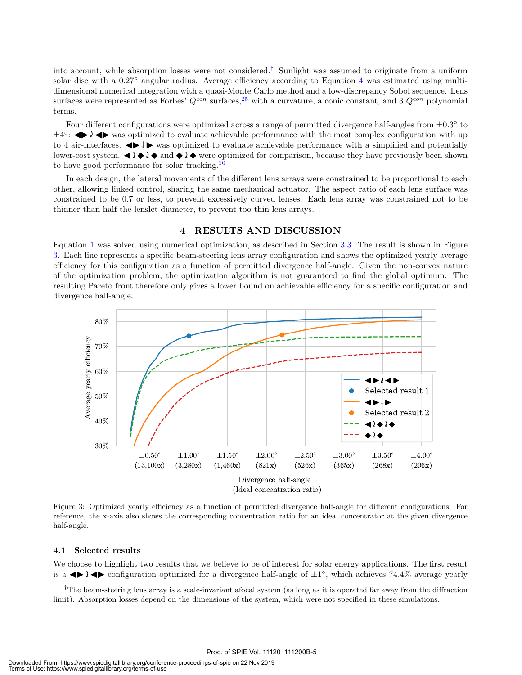into account, while absorption losses were not considered.† Sunlight was assumed to originate from a uniform solar disc with a 0.27<sup>°</sup> angular radius. Average efficiency according to Equation 4 was estimated using multidimensional numerical integration with a quasi-Monte Carlo method and a low-discrepancy Sobol sequence. Lens surfaces were represented as Forbes'  $Q^{con}$  surfaces,<sup>25</sup> with a curvature, a conic constant, and 3  $Q^{con}$  polynomial terms.

Four different configurations were optimized across a range of permitted divergence half-angles from *±*0*.*3 *◦* to *±*4<sup>°</sup>: ◆ *↓* ◆ was optimized to evaluate achievable performance with the most complex configuration with up to 4 air-interfaces.  $\blacklozenge \blacktriangleright$  was optimized to evaluate achievable performance with a simplified and potentially lower-cost system.  $\Box \blacklozenge \Diamond \blacklozenge$  and  $\Diamond \Diamond \blacklozenge$  were optimized for comparison, because they have previously been shown to have good performance for solar tracking.<sup>10</sup>

In each design, the lateral movements of the different lens arrays were constrained to be proportional to each other, allowing linked control, sharing the same mechanical actuator. The aspect ratio of each lens surface was constrained to be 0*.*7 or less, to prevent excessively curved lenses. Each lens array was constrained not to be thinner than half the lenslet diameter, to prevent too thin lens arrays.

#### **4 RESULTS AND DISCUSSION**

Equation 1 was solved using numerical optimization, as described in Section 3.3. The result is shown in Figure 3. Each line represents a specific beam-steering lens array configuration and shows the optimized yearly average efficiency for this configuration as a function of permitted divergence half-angle. Given the non-convex nature of the optimization problem, the optimization algorithm is not guaranteed to find the global optimum. The resulting Pareto front therefore only gives a lower bound on achievable efficiency for a specific configuration and divergence half-angle.



Figure 3: Optimized yearly efficiency as a function of permitted divergence half-angle for different configurations. For reference, the x-axis also shows the corresponding concentration ratio for an ideal concentrator at the given divergence half-angle.

#### **4.1 Selected results**

We choose to highlight two results that we believe to be of interest for solar energy applications. The first result is a  $\blacktriangle$   $\blacktriangle$   $\blacktriangle$  configuration optimized for a divergence half-angle of  $\pm 1^{\circ}$ , which achieves 74.4% average yearly

<sup>&</sup>lt;sup>†</sup>The beam-steering lens array is a scale-invariant afocal system (as long as it is operated far away from the diffraction limit). Absorption losses depend on the dimensions of the system, which were not specified in these simulations.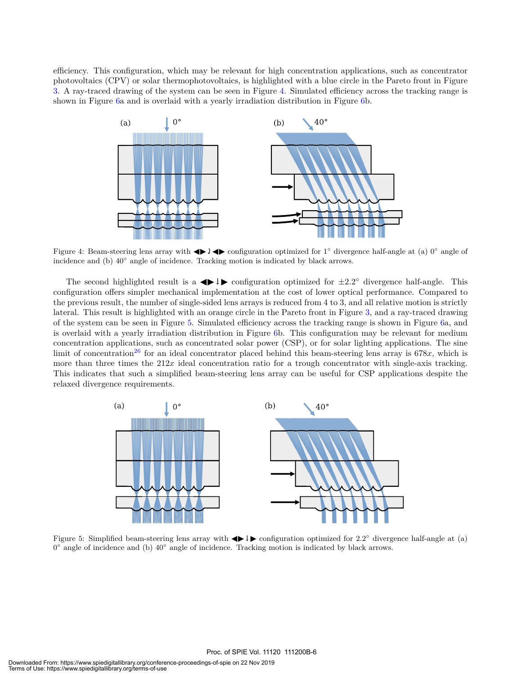efficiency. This configuration, which may be relevant for high concentration applications, such as concentrator photovoltaics (CPV) or solar thermophotovoltaics, is highlighted with a blue circle in the Pareto front in Figure 3. A ray-traced drawing of the system can be seen in Figure 4. Simulated efficiency across the tracking range is shown in Figure 6a and is overlaid with a yearly irradiation distribution in Figure 6b.



Figure 4: Beam-steering lens array with  $\blacktriangle$  1  $\blacktriangleright$  configuration optimized for 1<sup>°</sup> divergence half-angle at (a) 0<sup>°</sup> angle of incidence and (b) 40*◦* angle of incidence. Tracking motion is indicated by black arrows.

The second highlighted result is a  $\blacklozenge$   $\blacktriangleright$  configuration optimized for  $\pm 2.2^{\circ}$  divergence half-angle. This configuration offers simpler mechanical implementation at the cost of lower optical performance. Compared to the previous result, the number of single-sided lens arrays is reduced from 4 to 3, and all relative motion is strictly lateral. This result is highlighted with an orange circle in the Pareto front in Figure 3, and a ray-traced drawing of the system can be seen in Figure 5. Simulated efficiency across the tracking range is shown in Figure 6a, and is overlaid with a yearly irradiation distribution in Figure 6b. This configuration may be relevant for medium concentration applications, such as concentrated solar power (CSP), or for solar lighting applications. The sine limit of concentration<sup>26</sup> for an ideal concentrator placed behind this beam-steering lens array is  $678x$ , which is more than three times the  $212x$  ideal concentration ratio for a trough concentrator with single-axis tracking. This indicates that such a simplified beam-steering lens array can be useful for CSP applications despite the relaxed divergence requirements.



Figure 5: Simplified beam-steering lens array with ◀ ▶↓▶ configuration optimized for 2*.*2 *◦* divergence half-angle at (a) 0 *◦* angle of incidence and (b) 40*◦* angle of incidence. Tracking motion is indicated by black arrows.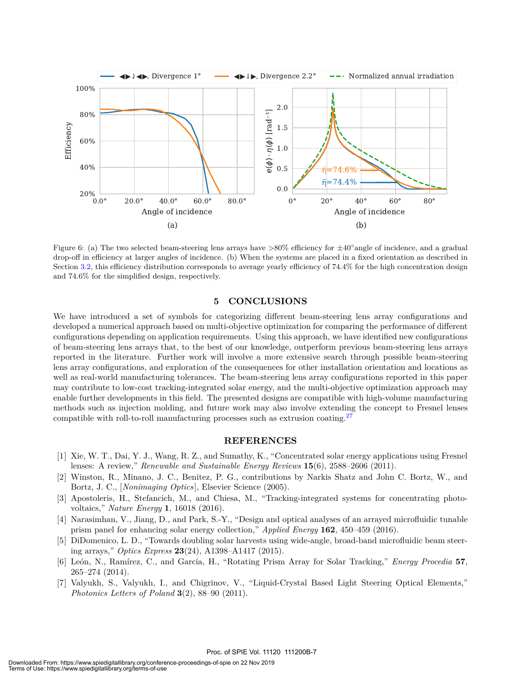

Figure 6: (a) The two selected beam-steering lens arrays have >80% efficiency for *±*40*◦* angle of incidence, and a gradual drop-off in efficiency at larger angles of incidence. (b) When the systems are placed in a fixed orientation as described in Section 3.2, this efficiency distribution corresponds to average yearly efficiency of 74.4% for the high concentration design and 74.6% for the simplified design, respectively.

#### **5 CONCLUSIONS**

We have introduced a set of symbols for categorizing different beam-steering lens array configurations and developed a numerical approach based on multi-objective optimization for comparing the performance of different configurations depending on application requirements. Using this approach, we have identified new configurations of beam-steering lens arrays that, to the best of our knowledge, outperform previous beam-steering lens arrays reported in the literature. Further work will involve a more extensive search through possible beam-steering lens array configurations, and exploration of the consequences for other installation orientation and locations as well as real-world manufacturing tolerances. The beam-steering lens array configurations reported in this paper may contribute to low-cost tracking-integrated solar energy, and the multi-objective optimization approach may enable further developments in this field. The presented designs are compatible with high-volume manufacturing methods such as injection molding, and future work may also involve extending the concept to Fresnel lenses compatible with roll-to-roll manufacturing processes such as extrusion coating.<sup>27</sup>

#### **REFERENCES**

- [1] Xie, W. T., Dai, Y. J., Wang, R. Z., and Sumathy, K., "Concentrated solar energy applications using Fresnel lenses: A review," *Renewable and Sustainable Energy Reviews* **15**(6), 2588–2606 (2011).
- [2] Winston, R., Minano, J. C., Benitez, P. G., contributions by Narkis Shatz and John C. Bortz, W., and Bortz, J. C., [*Nonimaging Optics*], Elsevier Science (2005).
- [3] Apostoleris, H., Stefancich, M., and Chiesa, M., "Tracking-integrated systems for concentrating photovoltaics," *Nature Energy* **1**, 16018 (2016).
- [4] Narasimhan, V., Jiang, D., and Park, S.-Y., "Design and optical analyses of an arrayed microfluidic tunable prism panel for enhancing solar energy collection," *Applied Energy* **162**, 450–459 (2016).
- [5] DiDomenico, L. D., "Towards doubling solar harvests using wide-angle, broad-band microfluidic beam steering arrays," *Optics Express* **23**(24), A1398–A1417 (2015).
- [6] León, N., Ramírez, C., and García, H., "Rotating Prism Array for Solar Tracking," *Energy Procedia* **57**, 265–274 (2014).
- [7] Valyukh, S., Valyukh, I., and Chigrinov, V., "Liquid-Crystal Based Light Steering Optical Elements," *Photonics Letters of Poland* **3**(2), 88–90 (2011).